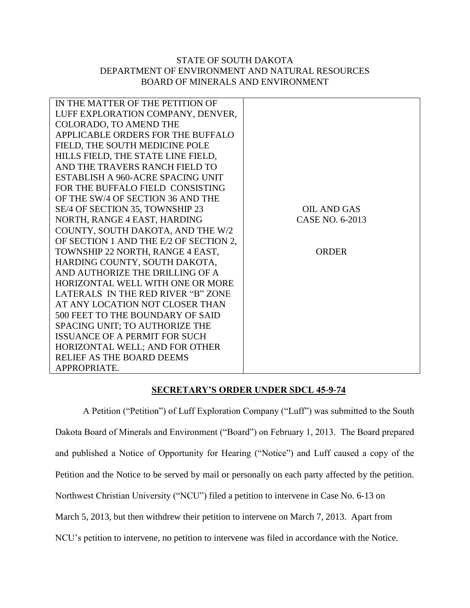## STATE OF SOUTH DAKOTA DEPARTMENT OF ENVIRONMENT AND NATURAL RESOURCES BOARD OF MINERALS AND ENVIRONMENT

| IN THE MATTER OF THE PETITION OF       |                 |
|----------------------------------------|-----------------|
| LUFF EXPLORATION COMPANY, DENVER,      |                 |
| COLORADO, TO AMEND THE                 |                 |
| APPLICABLE ORDERS FOR THE BUFFALO      |                 |
| FIELD, THE SOUTH MEDICINE POLE         |                 |
| HILLS FIELD, THE STATE LINE FIELD,     |                 |
| AND THE TRAVERS RANCH FIELD TO         |                 |
| ESTABLISH A 960-ACRE SPACING UNIT      |                 |
| FOR THE BUFFALO FIELD CONSISTING       |                 |
| OF THE SW/4 OF SECTION 36 AND THE      |                 |
| SE/4 OF SECTION 35, TOWNSHIP 23        | OIL AND GAS     |
| NORTH, RANGE 4 EAST, HARDING           | CASE NO. 6-2013 |
| COUNTY, SOUTH DAKOTA, AND THE W/2      |                 |
| OF SECTION 1 AND THE E/2 OF SECTION 2, |                 |
| TOWNSHIP 22 NORTH, RANGE 4 EAST,       | <b>ORDER</b>    |
| HARDING COUNTY, SOUTH DAKOTA,          |                 |
| AND AUTHORIZE THE DRILLING OF A        |                 |
| HORIZONTAL WELL WITH ONE OR MORE       |                 |
| LATERALS IN THE RED RIVER "B" ZONE     |                 |
| AT ANY LOCATION NOT CLOSER THAN        |                 |
| 500 FEET TO THE BOUNDARY OF SAID       |                 |
| SPACING UNIT; TO AUTHORIZE THE         |                 |
| <b>ISSUANCE OF A PERMIT FOR SUCH</b>   |                 |
| HORIZONTAL WELL; AND FOR OTHER         |                 |
| RELIEF AS THE BOARD DEEMS              |                 |
| APPROPRIATE.                           |                 |
|                                        |                 |

## **SECRETARY'S ORDER UNDER SDCL 45-9-74**

A Petition ("Petition") of Luff Exploration Company ("Luff") was submitted to the South Dakota Board of Minerals and Environment ("Board") on February 1, 2013. The Board prepared and published a Notice of Opportunity for Hearing ("Notice") and Luff caused a copy of the Petition and the Notice to be served by mail or personally on each party affected by the petition. Northwest Christian University ("NCU") filed a petition to intervene in Case No. 6-13 on March 5, 2013, but then withdrew their petition to intervene on March 7, 2013. Apart from NCU's petition to intervene, no petition to intervene was filed in accordance with the Notice.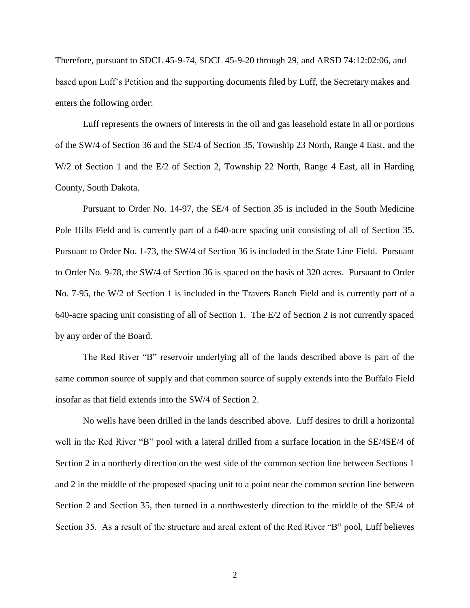Therefore, pursuant to SDCL 45-9-74, SDCL 45-9-20 through 29, and ARSD 74:12:02:06, and based upon Luff's Petition and the supporting documents filed by Luff, the Secretary makes and enters the following order:

Luff represents the owners of interests in the oil and gas leasehold estate in all or portions of the SW/4 of Section 36 and the SE/4 of Section 35, Township 23 North, Range 4 East, and the W/2 of Section 1 and the E/2 of Section 2, Township 22 North, Range 4 East, all in Harding County, South Dakota.

Pursuant to Order No. 14-97, the SE/4 of Section 35 is included in the South Medicine Pole Hills Field and is currently part of a 640-acre spacing unit consisting of all of Section 35. Pursuant to Order No. 1-73, the SW/4 of Section 36 is included in the State Line Field. Pursuant to Order No. 9-78, the SW/4 of Section 36 is spaced on the basis of 320 acres. Pursuant to Order No. 7-95, the W/2 of Section 1 is included in the Travers Ranch Field and is currently part of a 640-acre spacing unit consisting of all of Section 1. The E/2 of Section 2 is not currently spaced by any order of the Board.

The Red River "B" reservoir underlying all of the lands described above is part of the same common source of supply and that common source of supply extends into the Buffalo Field insofar as that field extends into the SW/4 of Section 2.

No wells have been drilled in the lands described above. Luff desires to drill a horizontal well in the Red River "B" pool with a lateral drilled from a surface location in the SE/4SE/4 of Section 2 in a northerly direction on the west side of the common section line between Sections 1 and 2 in the middle of the proposed spacing unit to a point near the common section line between Section 2 and Section 35, then turned in a northwesterly direction to the middle of the SE/4 of Section 35. As a result of the structure and areal extent of the Red River "B" pool, Luff believes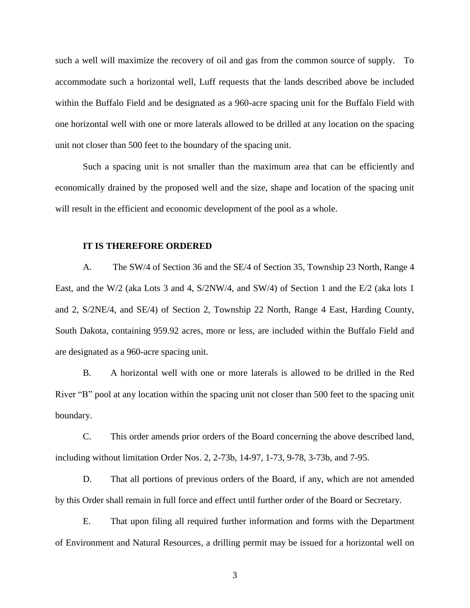such a well will maximize the recovery of oil and gas from the common source of supply. To accommodate such a horizontal well, Luff requests that the lands described above be included within the Buffalo Field and be designated as a 960-acre spacing unit for the Buffalo Field with one horizontal well with one or more laterals allowed to be drilled at any location on the spacing unit not closer than 500 feet to the boundary of the spacing unit.

Such a spacing unit is not smaller than the maximum area that can be efficiently and economically drained by the proposed well and the size, shape and location of the spacing unit will result in the efficient and economic development of the pool as a whole.

## **IT IS THEREFORE ORDERED**

A. The SW/4 of Section 36 and the SE/4 of Section 35, Township 23 North, Range 4 East, and the W/2 (aka Lots 3 and 4, S/2NW/4, and SW/4) of Section 1 and the E/2 (aka lots 1 and 2, S/2NE/4, and SE/4) of Section 2, Township 22 North, Range 4 East, Harding County, South Dakota, containing 959.92 acres, more or less, are included within the Buffalo Field and are designated as a 960-acre spacing unit.

B. A horizontal well with one or more laterals is allowed to be drilled in the Red River "B" pool at any location within the spacing unit not closer than 500 feet to the spacing unit boundary.

C. This order amends prior orders of the Board concerning the above described land, including without limitation Order Nos. 2, 2-73b, 14-97, 1-73, 9-78, 3-73b, and 7-95.

D. That all portions of previous orders of the Board, if any, which are not amended by this Order shall remain in full force and effect until further order of the Board or Secretary.

E. That upon filing all required further information and forms with the Department of Environment and Natural Resources, a drilling permit may be issued for a horizontal well on

3